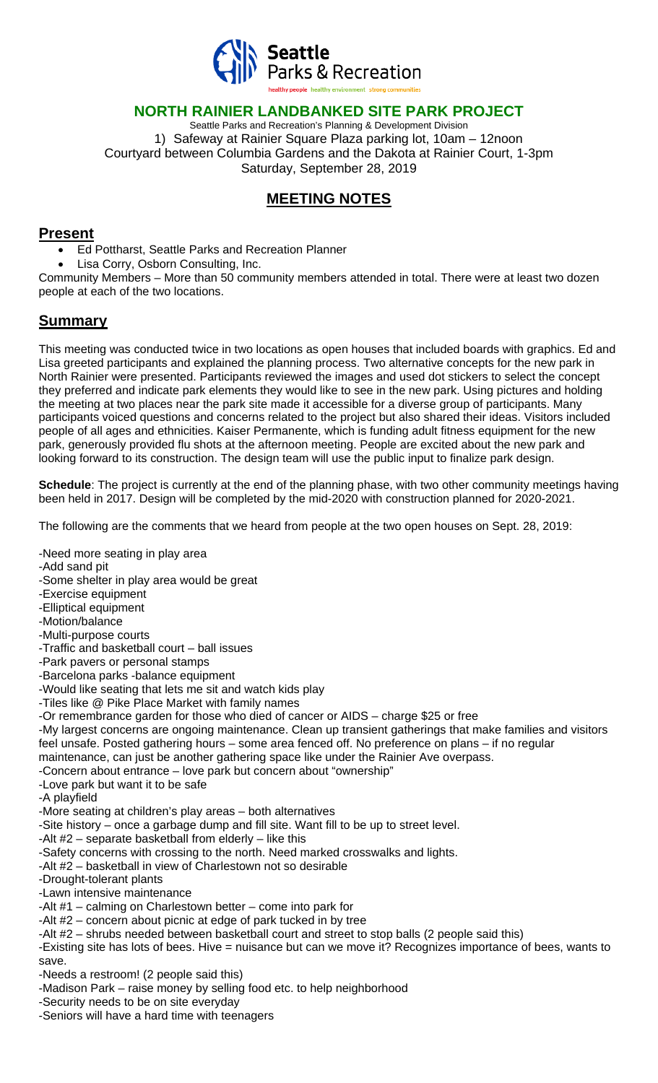

### **NORTH RAINIER LANDBANKED SITE PARK PROJECT**

Seattle Parks and Recreation's Planning & Development Division 1) Safeway at Rainier Square Plaza parking lot, 10am – 12noon Courtyard between Columbia Gardens and the Dakota at Rainier Court, 1-3pm Saturday, September 28, 2019

# **MEETING NOTES**

#### **Present**

- Ed Pottharst, Seattle Parks and Recreation Planner
- Lisa Corry, Osborn Consulting, Inc.

Community Members – More than 50 community members attended in total. There were at least two dozen people at each of the two locations.

## **Summary**

This meeting was conducted twice in two locations as open houses that included boards with graphics. Ed and Lisa greeted participants and explained the planning process. Two alternative concepts for the new park in North Rainier were presented. Participants reviewed the images and used dot stickers to select the concept they preferred and indicate park elements they would like to see in the new park. Using pictures and holding the meeting at two places near the park site made it accessible for a diverse group of participants. Many participants voiced questions and concerns related to the project but also shared their ideas. Visitors included people of all ages and ethnicities. Kaiser Permanente, which is funding adult fitness equipment for the new park, generously provided flu shots at the afternoon meeting. People are excited about the new park and looking forward to its construction. The design team will use the public input to finalize park design.

**Schedule**: The project is currently at the end of the planning phase, with two other community meetings having been held in 2017. Design will be completed by the mid-2020 with construction planned for 2020-2021.

The following are the comments that we heard from people at the two open houses on Sept. 28, 2019:

- -Need more seating in play area
- -Add sand pit
- -Some shelter in play area would be great
- -Exercise equipment
- -Elliptical equipment
- -Motion/balance
- -Multi-purpose courts
- -Traffic and basketball court ball issues
- -Park pavers or personal stamps
- -Barcelona parks -balance equipment
- -Would like seating that lets me sit and watch kids play
- -Tiles like @ Pike Place Market with family names
- -Or remembrance garden for those who died of cancer or AIDS charge \$25 or free
- -My largest concerns are ongoing maintenance. Clean up transient gatherings that make families and visitors feel unsafe. Posted gathering hours – some area fenced off. No preference on plans – if no regular
- maintenance, can just be another gathering space like under the Rainier Ave overpass.
- -Concern about entrance love park but concern about "ownership" -Love park but want it to be safe
- -A playfield
- -More seating at children's play areas both alternatives
- -Site history once a garbage dump and fill site. Want fill to be up to street level.
- -Alt #2 separate basketball from elderly like this
- -Safety concerns with crossing to the north. Need marked crosswalks and lights.
- -Alt #2 basketball in view of Charlestown not so desirable
- -Drought-tolerant plants
- -Lawn intensive maintenance
- -Alt #1 calming on Charlestown better come into park for
- -Alt #2 concern about picnic at edge of park tucked in by tree
- -Alt #2 shrubs needed between basketball court and street to stop balls (2 people said this)

-Existing site has lots of bees. Hive = nuisance but can we move it? Recognizes importance of bees, wants to save.

- -Needs a restroom! (2 people said this)
- -Madison Park raise money by selling food etc. to help neighborhood
- -Security needs to be on site everyday
- -Seniors will have a hard time with teenagers